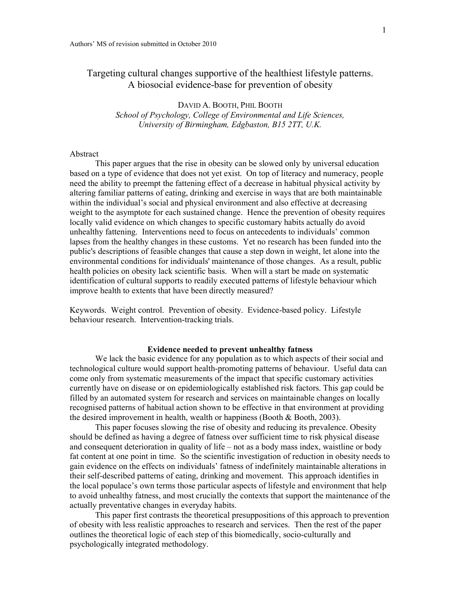# Targeting cultural changes supportive of the healthiest lifestyle patterns. A biosocial evidence-base for prevention of obesity

DAVID A. BOOTH, PHIL BOOTH *School of Psychology, College of Environmental and Life Sciences, University of Birmingham, Edgbaston, B15 2TT, U.K.* 

#### Abstract

 This paper argues that the rise in obesity can be slowed only by universal education based on a type of evidence that does not yet exist. On top of literacy and numeracy, people need the ability to preempt the fattening effect of a decrease in habitual physical activity by altering familiar patterns of eating, drinking and exercise in ways that are both maintainable within the individual's social and physical environment and also effective at decreasing weight to the asymptote for each sustained change. Hence the prevention of obesity requires locally valid evidence on which changes to specific customary habits actually do avoid unhealthy fattening. Interventions need to focus on antecedents to individuals' common lapses from the healthy changes in these customs. Yet no research has been funded into the public's descriptions of feasible changes that cause a step down in weight, let alone into the environmental conditions for individuals' maintenance of those changes. As a result, public health policies on obesity lack scientific basis. When will a start be made on systematic identification of cultural supports to readily executed patterns of lifestyle behaviour which improve health to extents that have been directly measured?

Keywords. Weight control. Prevention of obesity. Evidence-based policy. Lifestyle behaviour research. Intervention-tracking trials.

#### **Evidence needed to prevent unhealthy fatness**

We lack the basic evidence for any population as to which aspects of their social and technological culture would support health-promoting patterns of behaviour. Useful data can come only from systematic measurements of the impact that specific customary activities currently have on disease or on epidemiologically established risk factors. This gap could be filled by an automated system for research and services on maintainable changes on locally recognised patterns of habitual action shown to be effective in that environment at providing the desired improvement in health, wealth or happiness (Booth & Booth, 2003).

This paper focuses slowing the rise of obesity and reducing its prevalence. Obesity should be defined as having a degree of fatness over sufficient time to risk physical disease and consequent deterioration in quality of life – not as a body mass index, waistline or body fat content at one point in time. So the scientific investigation of reduction in obesity needs to gain evidence on the effects on individuals' fatness of indefinitely maintainable alterations in their self-described patterns of eating, drinking and movement. This approach identifies in the local populace's own terms those particular aspects of lifestyle and environment that help to avoid unhealthy fatness, and most crucially the contexts that support the maintenance of the actually preventative changes in everyday habits.

This paper first contrasts the theoretical presuppositions of this approach to prevention of obesity with less realistic approaches to research and services. Then the rest of the paper outlines the theoretical logic of each step of this biomedically, socio-culturally and psychologically integrated methodology.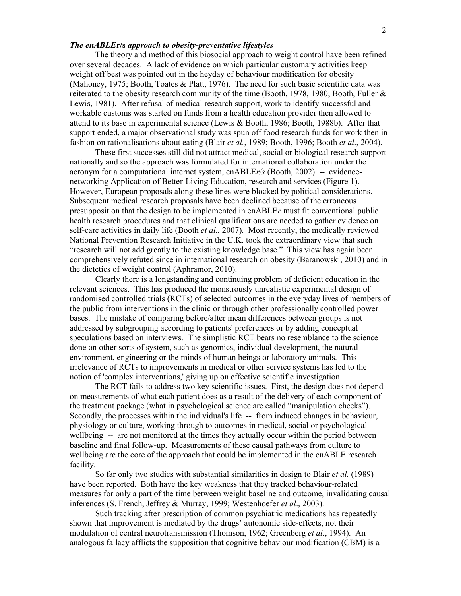# *The enABLE***r/s** *approach to obesity-preventative lifestyles*

 The theory and method of this biosocial approach to weight control have been refined over several decades. A lack of evidence on which particular customary activities keep weight off best was pointed out in the heyday of behaviour modification for obesity (Mahoney, 1975; Booth, Toates & Platt, 1976). The need for such basic scientific data was reiterated to the obesity research community of the time (Booth, 1978, 1980; Booth, Fuller & Lewis, 1981). After refusal of medical research support, work to identify successful and workable customs was started on funds from a health education provider then allowed to attend to its base in experimental science (Lewis & Booth, 1986; Booth, 1988b). After that support ended, a major observational study was spun off food research funds for work then in fashion on rationalisations about eating (Blair *et al.*, 1989; Booth, 1996; Booth *et al*., 2004).

These first successes still did not attract medical, social or biological research support nationally and so the approach was formulated for international collaboration under the acronym for a computational internet system, enABLE*r/s* (Booth, 2002) -- evidencenetworking Application of Better-Living Education, research and services (Figure 1). However, European proposals along these lines were blocked by political considerations. Subsequent medical research proposals have been declined because of the erroneous presupposition that the design to be implemented in enABLE*r* must fit conventional public health research procedures and that clinical qualifications are needed to gather evidence on self-care activities in daily life (Booth *et al.*, 2007). Most recently, the medically reviewed National Prevention Research Initiative in the U.K. took the extraordinary view that such "research will not add greatly to the existing knowledge base." This view has again been comprehensively refuted since in international research on obesity (Baranowski, 2010) and in the dietetics of weight control (Aphramor, 2010).

Clearly there is a longstanding and continuing problem of deficient education in the relevant sciences. This has produced the monstrously unrealistic experimental design of randomised controlled trials (RCTs) of selected outcomes in the everyday lives of members of the public from interventions in the clinic or through other professionally controlled power bases. The mistake of comparing before/after mean differences between groups is not addressed by subgrouping according to patients' preferences or by adding conceptual speculations based on interviews. The simplistic RCT bears no resemblance to the science done on other sorts of system, such as genomics, individual development, the natural environment, engineering or the minds of human beings or laboratory animals. This irrelevance of RCTs to improvements in medical or other service systems has led to the notion of 'complex interventions,' giving up on effective scientific investigation.

The RCT fails to address two key scientific issues. First, the design does not depend on measurements of what each patient does as a result of the delivery of each component of the treatment package (what in psychological science are called "manipulation checks"). Secondly, the processes within the individual's life -- from induced changes in behaviour, physiology or culture, working through to outcomes in medical, social or psychological wellbeing -- are not monitored at the times they actually occur within the period between baseline and final follow-up. Measurements of these causal pathways from culture to wellbeing are the core of the approach that could be implemented in the enABLE research facility.

So far only two studies with substantial similarities in design to Blair *et al.* (1989) have been reported. Both have the key weakness that they tracked behaviour-related measures for only a part of the time between weight baseline and outcome, invalidating causal inferences (S. French, Jeffrey & Murray, 1999; Westenhoefer *et al*., 2003).

Such tracking after prescription of common psychiatric medications has repeatedly shown that improvement is mediated by the drugs' autonomic side-effects, not their modulation of central neurotransmission (Thomson, 1962; Greenberg *et al*., 1994). An analogous fallacy afflicts the supposition that cognitive behaviour modification (CBM) is a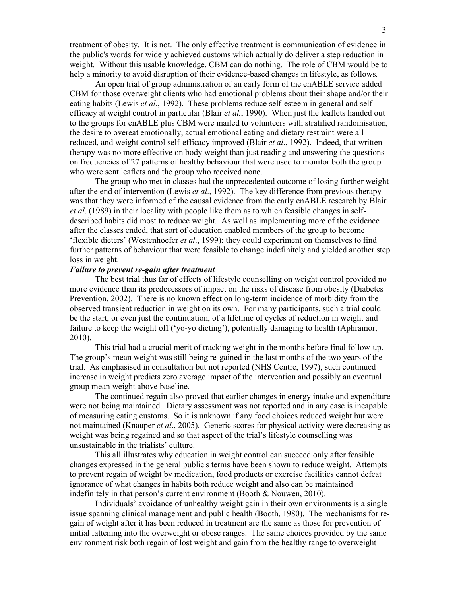treatment of obesity. It is not. The only effective treatment is communication of evidence in the public's words for widely achieved customs which actually do deliver a step reduction in weight. Without this usable knowledge, CBM can do nothing. The role of CBM would be to help a minority to avoid disruption of their evidence-based changes in lifestyle, as follows.

An open trial of group administration of an early form of the enABLE service added CBM for those overweight clients who had emotional problems about their shape and/or their eating habits (Lewis *et al*., 1992). These problems reduce self-esteem in general and selfefficacy at weight control in particular (Blair *et al.*, 1990). When just the leaflets handed out to the groups for enABLE plus CBM were mailed to volunteers with stratified randomisation, the desire to overeat emotionally, actual emotional eating and dietary restraint were all reduced, and weight-control self-efficacy improved (Blair *et al*., 1992). Indeed, that written therapy was no more effective on body weight than just reading and answering the questions on frequencies of 27 patterns of healthy behaviour that were used to monitor both the group who were sent leaflets and the group who received none.

The group who met in classes had the unprecedented outcome of losing further weight after the end of intervention (Lewis *et al*., 1992). The key difference from previous therapy was that they were informed of the causal evidence from the early enABLE research by Blair *et al*. (1989) in their locality with people like them as to which feasible changes in selfdescribed habits did most to reduce weight. As well as implementing more of the evidence after the classes ended, that sort of education enabled members of the group to become 'flexible dieters' (Westenhoefer *et al*., 1999): they could experiment on themselves to find further patterns of behaviour that were feasible to change indefinitely and yielded another step loss in weight.

#### *Failure to prevent re-gain after treatment*

 The best trial thus far of effects of lifestyle counselling on weight control provided no more evidence than its predecessors of impact on the risks of disease from obesity (Diabetes Prevention, 2002). There is no known effect on long-term incidence of morbidity from the observed transient reduction in weight on its own. For many participants, such a trial could be the start, or even just the continuation, of a lifetime of cycles of reduction in weight and failure to keep the weight off ('yo-yo dieting'), potentially damaging to health (Aphramor, 2010).

This trial had a crucial merit of tracking weight in the months before final follow-up. The group's mean weight was still being re-gained in the last months of the two years of the trial. As emphasised in consultation but not reported (NHS Centre, 1997), such continued increase in weight predicts zero average impact of the intervention and possibly an eventual group mean weight above baseline.

The continued regain also proved that earlier changes in energy intake and expenditure were not being maintained. Dietary assessment was not reported and in any case is incapable of measuring eating customs. So it is unknown if any food choices reduced weight but were not maintained (Knauper *et al*., 2005). Generic scores for physical activity were decreasing as weight was being regained and so that aspect of the trial's lifestyle counselling was unsustainable in the trialists' culture.

This all illustrates why education in weight control can succeed only after feasible changes expressed in the general public's terms have been shown to reduce weight. Attempts to prevent regain of weight by medication, food products or exercise facilities cannot defeat ignorance of what changes in habits both reduce weight and also can be maintained indefinitely in that person's current environment (Booth & Nouwen, 2010).

 Individuals' avoidance of unhealthy weight gain in their own environments is a single issue spanning clinical management and public health (Booth, 1980). The mechanisms for regain of weight after it has been reduced in treatment are the same as those for prevention of initial fattening into the overweight or obese ranges. The same choices provided by the same environment risk both regain of lost weight and gain from the healthy range to overweight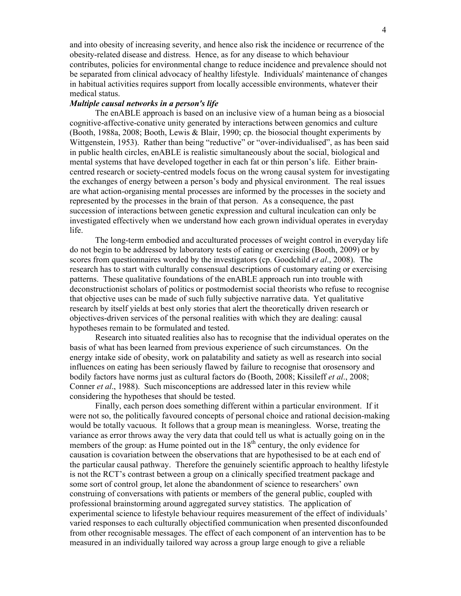and into obesity of increasing severity, and hence also risk the incidence or recurrence of the obesity-related disease and distress. Hence, as for any disease to which behaviour contributes, policies for environmental change to reduce incidence and prevalence should not be separated from clinical advocacy of healthy lifestyle. Individuals' maintenance of changes in habitual activities requires support from locally accessible environments, whatever their medical status.

# *Multiple causal networks in a person's life*

 The enABLE approach is based on an inclusive view of a human being as a biosocial cognitive-affective-conative unity generated by interactions between genomics and culture (Booth, 1988a, 2008; Booth, Lewis & Blair, 1990; cp. the biosocial thought experiments by Wittgenstein, 1953). Rather than being "reductive" or "over-individualised", as has been said in public health circles, enABLE is realistic simultaneously about the social, biological and mental systems that have developed together in each fat or thin person's life. Either braincentred research or society-centred models focus on the wrong causal system for investigating the exchanges of energy between a person's body and physical environment. The real issues are what action-organising mental processes are informed by the processes in the society and represented by the processes in the brain of that person. As a consequence, the past succession of interactions between genetic expression and cultural inculcation can only be investigated effectively when we understand how each grown individual operates in everyday life.

The long-term embodied and acculturated processes of weight control in everyday life do not begin to be addressed by laboratory tests of eating or exercising (Booth, 2009) or by scores from questionnaires worded by the investigators (cp. Goodchild *et al*., 2008). The research has to start with culturally consensual descriptions of customary eating or exercising patterns. These qualitative foundations of the enABLE approach run into trouble with deconstructionist scholars of politics or postmodernist social theorists who refuse to recognise that objective uses can be made of such fully subjective narrative data. Yet qualitative research by itself yields at best only stories that alert the theoretically driven research or objectives-driven services of the personal realities with which they are dealing: causal hypotheses remain to be formulated and tested.

Research into situated realities also has to recognise that the individual operates on the basis of what has been learned from previous experience of such circumstances. On the energy intake side of obesity, work on palatability and satiety as well as research into social influences on eating has been seriously flawed by failure to recognise that orosensory and bodily factors have norms just as cultural factors do (Booth, 2008; Kissileff *et al*., 2008; Conner *et al*., 1988). Such misconceptions are addressed later in this review while considering the hypotheses that should be tested.

 Finally, each person does something different within a particular environment. If it were not so, the politically favoured concepts of personal choice and rational decision-making would be totally vacuous. It follows that a group mean is meaningless. Worse, treating the variance as error throws away the very data that could tell us what is actually going on in the members of the group: as Hume pointed out in the  $18<sup>th</sup>$  century, the only evidence for causation is covariation between the observations that are hypothesised to be at each end of the particular causal pathway. Therefore the genuinely scientific approach to healthy lifestyle is not the RCT's contrast between a group on a clinically specified treatment package and some sort of control group, let alone the abandonment of science to researchers' own construing of conversations with patients or members of the general public, coupled with professional brainstorming around aggregated survey statistics. The application of experimental science to lifestyle behaviour requires measurement of the effect of individuals' varied responses to each culturally objectified communication when presented disconfounded from other recognisable messages. The effect of each component of an intervention has to be measured in an individually tailored way across a group large enough to give a reliable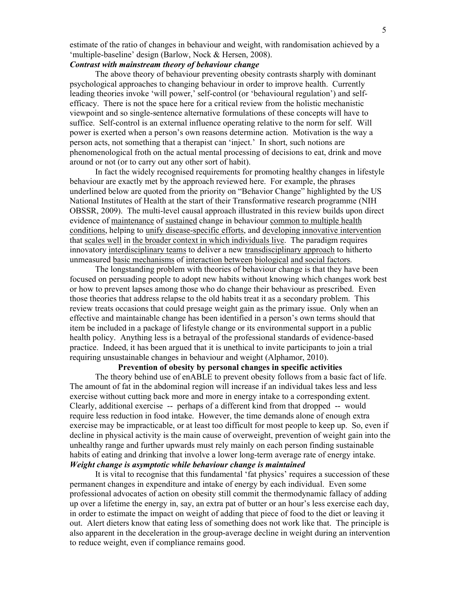estimate of the ratio of changes in behaviour and weight, with randomisation achieved by a 'multiple-baseline' design (Barlow, Nock & Hersen, 2008).

## *Contrast with mainstream theory of behaviour change*

 The above theory of behaviour preventing obesity contrasts sharply with dominant psychological approaches to changing behaviour in order to improve health. Currently leading theories invoke 'will power,' self-control (or 'behavioural regulation') and selfefficacy. There is not the space here for a critical review from the holistic mechanistic viewpoint and so single-sentence alternative formulations of these concepts will have to suffice. Self-control is an external influence operating relative to the norm for self. Will power is exerted when a person's own reasons determine action. Motivation is the way a person acts, not something that a therapist can 'inject.' In short, such notions are phenomenological froth on the actual mental processing of decisions to eat, drink and move around or not (or to carry out any other sort of habit).

In fact the widely recognised requirements for promoting healthy changes in lifestyle behaviour are exactly met by the approach reviewed here. For example, the phrases underlined below are quoted from the priority on "Behavior Change" highlighted by the US National Institutes of Health at the start of their Transformative research programme (NIH OBSSR, 2009). The multi-level causal approach illustrated in this review builds upon direct evidence of maintenance of sustained change in behaviour common to multiple health conditions, helping to unify disease-specific efforts, and developing innovative intervention that scales well in the broader context in which individuals live. The paradigm requires innovatory interdisciplinary teams to deliver a new transdisciplinary approach to hitherto unmeasured basic mechanisms of interaction between biological and social factors.

The longstanding problem with theories of behaviour change is that they have been focused on persuading people to adopt new habits without knowing which changes work best or how to prevent lapses among those who do change their behaviour as prescribed. Even those theories that address relapse to the old habits treat it as a secondary problem. This review treats occasions that could presage weight gain as the primary issue. Only when an effective and maintainable change has been identified in a person's own terms should that item be included in a package of lifestyle change or its environmental support in a public health policy. Anything less is a betrayal of the professional standards of evidence-based practice. Indeed, it has been argued that it is unethical to invite participants to join a trial requiring unsustainable changes in behaviour and weight (Alphamor, 2010).

# **Prevention of obesity by personal changes in specific activities**

 The theory behind use of enABLE to prevent obesity follows from a basic fact of life. The amount of fat in the abdominal region will increase if an individual takes less and less exercise without cutting back more and more in energy intake to a corresponding extent. Clearly, additional exercise -- perhaps of a different kind from that dropped -- would require less reduction in food intake. However, the time demands alone of enough extra exercise may be impracticable, or at least too difficult for most people to keep up. So, even if decline in physical activity is the main cause of overweight, prevention of weight gain into the unhealthy range and further upwards must rely mainly on each person finding sustainable habits of eating and drinking that involve a lower long-term average rate of energy intake. *Weight change is asymptotic while behaviour change is maintained* 

 It is vital to recognise that this fundamental 'fat physics' requires a succession of these permanent changes in expenditure and intake of energy by each individual. Even some professional advocates of action on obesity still commit the thermodynamic fallacy of adding up over a lifetime the energy in, say, an extra pat of butter or an hour's less exercise each day, in order to estimate the impact on weight of adding that piece of food to the diet or leaving it out. Alert dieters know that eating less of something does not work like that. The principle is also apparent in the deceleration in the group-average decline in weight during an intervention to reduce weight, even if compliance remains good.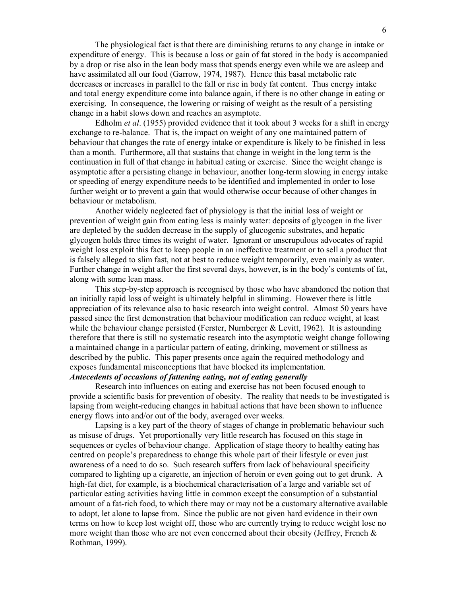The physiological fact is that there are diminishing returns to any change in intake or expenditure of energy. This is because a loss or gain of fat stored in the body is accompanied by a drop or rise also in the lean body mass that spends energy even while we are asleep and have assimilated all our food (Garrow, 1974, 1987). Hence this basal metabolic rate decreases or increases in parallel to the fall or rise in body fat content. Thus energy intake and total energy expenditure come into balance again, if there is no other change in eating or exercising. In consequence, the lowering or raising of weight as the result of a persisting change in a habit slows down and reaches an asymptote.

Edholm *et al*. (1955) provided evidence that it took about 3 weeks for a shift in energy exchange to re-balance. That is, the impact on weight of any one maintained pattern of behaviour that changes the rate of energy intake or expenditure is likely to be finished in less than a month. Furthermore, all that sustains that change in weight in the long term is the continuation in full of that change in habitual eating or exercise. Since the weight change is asymptotic after a persisting change in behaviour, another long-term slowing in energy intake or speeding of energy expenditure needs to be identified and implemented in order to lose further weight or to prevent a gain that would otherwise occur because of other changes in behaviour or metabolism.

Another widely neglected fact of physiology is that the initial loss of weight or prevention of weight gain from eating less is mainly water: deposits of glycogen in the liver are depleted by the sudden decrease in the supply of glucogenic substrates, and hepatic glycogen holds three times its weight of water. Ignorant or unscrupulous advocates of rapid weight loss exploit this fact to keep people in an ineffective treatment or to sell a product that is falsely alleged to slim fast, not at best to reduce weight temporarily, even mainly as water. Further change in weight after the first several days, however, is in the body's contents of fat, along with some lean mass.

This step-by-step approach is recognised by those who have abandoned the notion that an initially rapid loss of weight is ultimately helpful in slimming. However there is little appreciation of its relevance also to basic research into weight control. Almost 50 years have passed since the first demonstration that behaviour modification can reduce weight, at least while the behaviour change persisted (Ferster, Nurnberger & Levitt, 1962). It is astounding therefore that there is still no systematic research into the asymptotic weight change following a maintained change in a particular pattern of eating, drinking, movement or stillness as described by the public. This paper presents once again the required methodology and exposes fundamental misconceptions that have blocked its implementation.

# *Antecedents of occasions of fattening eating, not of eating generally*

Research into influences on eating and exercise has not been focused enough to provide a scientific basis for prevention of obesity. The reality that needs to be investigated is lapsing from weight-reducing changes in habitual actions that have been shown to influence energy flows into and/or out of the body, averaged over weeks.

Lapsing is a key part of the theory of stages of change in problematic behaviour such as misuse of drugs. Yet proportionally very little research has focused on this stage in sequences or cycles of behaviour change. Application of stage theory to healthy eating has centred on people's preparedness to change this whole part of their lifestyle or even just awareness of a need to do so. Such research suffers from lack of behavioural specificity compared to lighting up a cigarette, an injection of heroin or even going out to get drunk. A high-fat diet, for example, is a biochemical characterisation of a large and variable set of particular eating activities having little in common except the consumption of a substantial amount of a fat-rich food, to which there may or may not be a customary alternative available to adopt, let alone to lapse from. Since the public are not given hard evidence in their own terms on how to keep lost weight off, those who are currently trying to reduce weight lose no more weight than those who are not even concerned about their obesity (Jeffrey, French  $\&$ Rothman, 1999).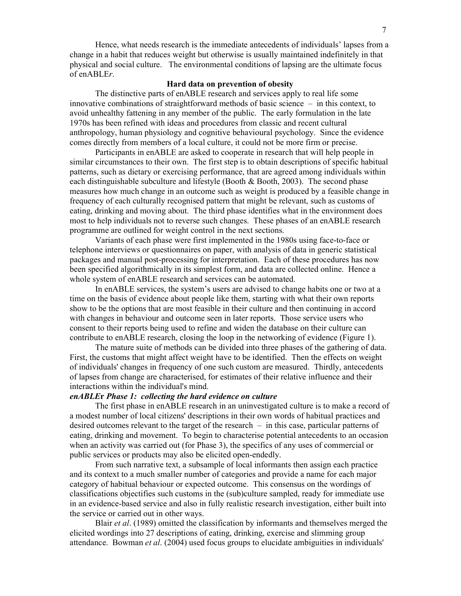Hence, what needs research is the immediate antecedents of individuals' lapses from a change in a habit that reduces weight but otherwise is usually maintained indefinitely in that physical and social culture. The environmental conditions of lapsing are the ultimate focus of enABLE*r*.

### **Hard data on prevention of obesity**

 The distinctive parts of enABLE research and services apply to real life some innovative combinations of straightforward methods of basic science – in this context, to avoid unhealthy fattening in any member of the public. The early formulation in the late 1970s has been refined with ideas and procedures from classic and recent cultural anthropology, human physiology and cognitive behavioural psychology. Since the evidence comes directly from members of a local culture, it could not be more firm or precise.

Participants in enABLE are asked to cooperate in research that will help people in similar circumstances to their own. The first step is to obtain descriptions of specific habitual patterns, such as dietary or exercising performance, that are agreed among individuals within each distinguishable subculture and lifestyle (Booth  $\&$  Booth, 2003). The second phase measures how much change in an outcome such as weight is produced by a feasible change in frequency of each culturally recognised pattern that might be relevant, such as customs of eating, drinking and moving about. The third phase identifies what in the environment does most to help individuals not to reverse such changes. These phases of an enABLE research programme are outlined for weight control in the next sections.

Variants of each phase were first implemented in the 1980s using face-to-face or telephone interviews or questionnaires on paper, with analysis of data in generic statistical packages and manual post-processing for interpretation. Each of these procedures has now been specified algorithmically in its simplest form, and data are collected online. Hence a whole system of enABLE research and services can be automated.

In enABLE services, the system's users are advised to change habits one or two at a time on the basis of evidence about people like them, starting with what their own reports show to be the options that are most feasible in their culture and then continuing in accord with changes in behaviour and outcome seen in later reports. Those service users who consent to their reports being used to refine and widen the database on their culture can contribute to enABLE research, closing the loop in the networking of evidence (Figure 1).

The mature suite of methods can be divided into three phases of the gathering of data. First, the customs that might affect weight have to be identified. Then the effects on weight of individuals' changes in frequency of one such custom are measured. Thirdly, antecedents of lapses from change are characterised, for estimates of their relative influence and their interactions within the individual's mind.

# *enABLE***r** *Phase 1: collecting the hard evidence on culture*

 The first phase in enABLE research in an uninvestigated culture is to make a record of a modest number of local citizens' descriptions in their own words of habitual practices and desired outcomes relevant to the target of the research – in this case, particular patterns of eating, drinking and movement. To begin to characterise potential antecedents to an occasion when an activity was carried out (for Phase 3), the specifics of any uses of commercial or public services or products may also be elicited open-endedly.

 From such narrative text, a subsample of local informants then assign each practice and its context to a much smaller number of categories and provide a name for each major category of habitual behaviour or expected outcome. This consensus on the wordings of classifications objectifies such customs in the (sub)culture sampled, ready for immediate use in an evidence-based service and also in fully realistic research investigation, either built into the service or carried out in other ways.

 Blair *et al*. (1989) omitted the classification by informants and themselves merged the elicited wordings into 27 descriptions of eating, drinking, exercise and slimming group attendance. Bowman *et al*. (2004) used focus groups to elucidate ambiguities in individuals'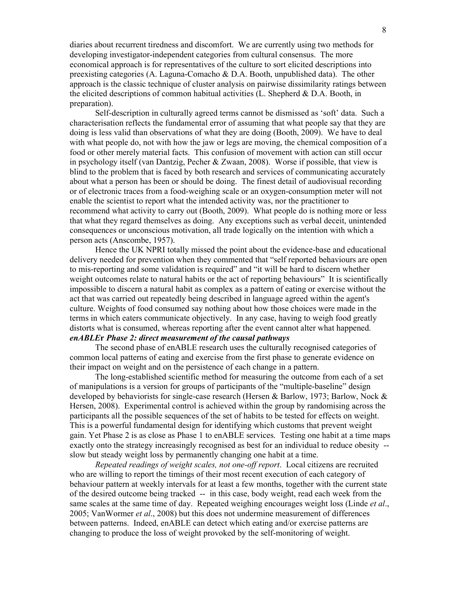diaries about recurrent tiredness and discomfort. We are currently using two methods for developing investigator-independent categories from cultural consensus. The more economical approach is for representatives of the culture to sort elicited descriptions into preexisting categories (A. Laguna-Comacho & D.A. Booth, unpublished data). The other approach is the classic technique of cluster analysis on pairwise dissimilarity ratings between the elicited descriptions of common habitual activities (L. Shepherd & D.A. Booth, in preparation).

 Self-description in culturally agreed terms cannot be dismissed as 'soft' data. Such a characterisation reflects the fundamental error of assuming that what people say that they are doing is less valid than observations of what they are doing (Booth, 2009). We have to deal with what people do, not with how the jaw or legs are moving, the chemical composition of a food or other merely material facts. This confusion of movement with action can still occur in psychology itself (van Dantzig, Pecher & Zwaan, 2008). Worse if possible, that view is blind to the problem that is faced by both research and services of communicating accurately about what a person has been or should be doing. The finest detail of audiovisual recording or of electronic traces from a food-weighing scale or an oxygen-consumption meter will not enable the scientist to report what the intended activity was, nor the practitioner to recommend what activity to carry out (Booth, 2009). What people do is nothing more or less that what they regard themselves as doing. Any exceptions such as verbal deceit, unintended consequences or unconscious motivation, all trade logically on the intention with which a person acts (Anscombe, 1957).

Hence the UK NPRI totally missed the point about the evidence-base and educational delivery needed for prevention when they commented that "self reported behaviours are open to mis-reporting and some validation is required" and "it will be hard to discern whether weight outcomes relate to natural habits or the act of reporting behaviours" It is scientifically impossible to discern a natural habit as complex as a pattern of eating or exercise without the act that was carried out repeatedly being described in language agreed within the agent's culture. Weights of food consumed say nothing about how those choices were made in the terms in which eaters communicate objectively. In any case, having to weigh food greatly distorts what is consumed, whereas reporting after the event cannot alter what happened.

# *enABLE***r** *Phase 2: direct measurement of the causal pathways*

The second phase of enABLE research uses the culturally recognised categories of common local patterns of eating and exercise from the first phase to generate evidence on their impact on weight and on the persistence of each change in a pattern.

The long-established scientific method for measuring the outcome from each of a set of manipulations is a version for groups of participants of the "multiple-baseline" design developed by behaviorists for single-case research (Hersen & Barlow, 1973; Barlow, Nock & Hersen, 2008). Experimental control is achieved within the group by randomising across the participants all the possible sequences of the set of habits to be tested for effects on weight. This is a powerful fundamental design for identifying which customs that prevent weight gain. Yet Phase 2 is as close as Phase 1 to enABLE services. Testing one habit at a time maps exactly onto the strategy increasingly recognised as best for an individual to reduce obesity - slow but steady weight loss by permanently changing one habit at a time.

*Repeated readings of weight scales, not one-off report*. Local citizens are recruited who are willing to report the timings of their most recent execution of each category of behaviour pattern at weekly intervals for at least a few months, together with the current state of the desired outcome being tracked -- in this case, body weight, read each week from the same scales at the same time of day. Repeated weighing encourages weight loss (Linde *et al*., 2005; VanWormer *et al*., 2008) but this does not undermine measurement of differences between patterns. Indeed, enABLE can detect which eating and/or exercise patterns are changing to produce the loss of weight provoked by the self-monitoring of weight.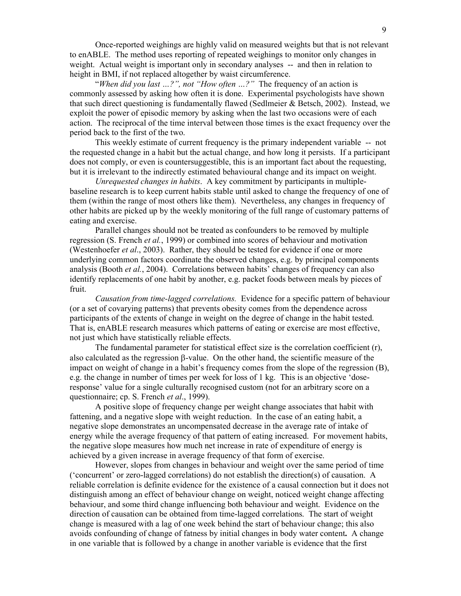Once-reported weighings are highly valid on measured weights but that is not relevant to enABLE. The method uses reporting of repeated weighings to monitor only changes in weight. Actual weight is important only in secondary analyses -- and then in relation to height in BMI, if not replaced altogether by waist circumference.

 "*When did you last …?", not "How often …?"* The frequency of an action is commonly assessed by asking how often it is done. Experimental psychologists have shown that such direct questioning is fundamentally flawed (Sedlmeier & Betsch, 2002). Instead, we exploit the power of episodic memory by asking when the last two occasions were of each action. The reciprocal of the time interval between those times is the exact frequency over the period back to the first of the two.

 This weekly estimate of current frequency is the primary independent variable -- not the requested change in a habit but the actual change, and how long it persists. If a participant does not comply, or even is countersuggestible, this is an important fact about the requesting, but it is irrelevant to the indirectly estimated behavioural change and its impact on weight.

*Unrequested changes in habits*. A key commitment by participants in multiplebaseline research is to keep current habits stable until asked to change the frequency of one of them (within the range of most others like them). Nevertheless, any changes in frequency of other habits are picked up by the weekly monitoring of the full range of customary patterns of eating and exercise.

Parallel changes should not be treated as confounders to be removed by multiple regression (S. French *et al.*, 1999) or combined into scores of behaviour and motivation (Westenhoefer *et al*., 2003). Rather, they should be tested for evidence if one or more underlying common factors coordinate the observed changes, e.g. by principal components analysis (Booth *et al.*, 2004). Correlations between habits' changes of frequency can also identify replacements of one habit by another, e.g. packet foods between meals by pieces of fruit.

*Causation from time-lagged correlations.* Evidence for a specific pattern of behaviour (or a set of covarying patterns) that prevents obesity comes from the dependence across participants of the extents of change in weight on the degree of change in the habit tested. That is, enABLE research measures which patterns of eating or exercise are most effective, not just which have statistically reliable effects.

The fundamental parameter for statistical effect size is the correlation coefficient (r), also calculated as the regression β-value. On the other hand, the scientific measure of the impact on weight of change in a habit's frequency comes from the slope of the regression (B), e.g. the change in number of times per week for loss of 1 kg. This is an objective 'doseresponse' value for a single culturally recognised custom (not for an arbitrary score on a questionnaire; cp. S. French *et al*., 1999).

A positive slope of frequency change per weight change associates that habit with fattening, and a negative slope with weight reduction. In the case of an eating habit, a negative slope demonstrates an uncompensated decrease in the average rate of intake of energy while the average frequency of that pattern of eating increased. For movement habits, the negative slope measures how much net increase in rate of expenditure of energy is achieved by a given increase in average frequency of that form of exercise.

However, slopes from changes in behaviour and weight over the same period of time ('concurrent' or zero-lagged correlations) do not establish the direction(s) of causation. A reliable correlation is definite evidence for the existence of a causal connection but it does not distinguish among an effect of behaviour change on weight, noticed weight change affecting behaviour, and some third change influencing both behaviour and weight. Evidence on the direction of causation can be obtained from time-lagged correlations. The start of weight change is measured with a lag of one week behind the start of behaviour change; this also avoids confounding of change of fatness by initial changes in body water content**.** A change in one variable that is followed by a change in another variable is evidence that the first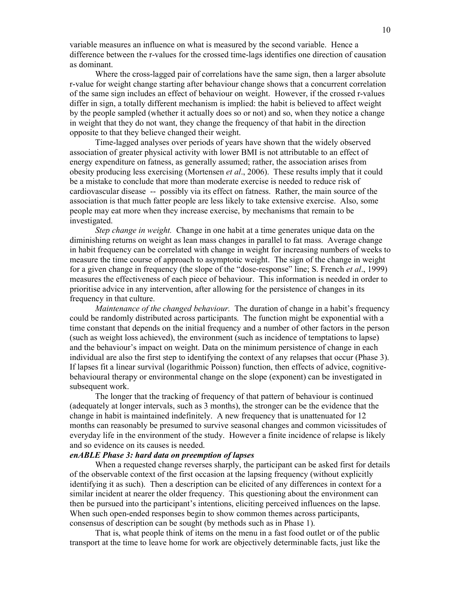variable measures an influence on what is measured by the second variable. Hence a difference between the r-values for the crossed time-lags identifies one direction of causation as dominant.

Where the cross-lagged pair of correlations have the same sign, then a larger absolute r-value for weight change starting after behaviour change shows that a concurrent correlation of the same sign includes an effect of behaviour on weight. However, if the crossed r-values differ in sign, a totally different mechanism is implied: the habit is believed to affect weight by the people sampled (whether it actually does so or not) and so, when they notice a change in weight that they do not want, they change the frequency of that habit in the direction opposite to that they believe changed their weight.

Time-lagged analyses over periods of years have shown that the widely observed association of greater physical activity with lower BMI is not attributable to an effect of energy expenditure on fatness, as generally assumed; rather, the association arises from obesity producing less exercising (Mortensen *et al*., 2006). These results imply that it could be a mistake to conclude that more than moderate exercise is needed to reduce risk of cardiovascular disease -- possibly via its effect on fatness. Rather, the main source of the association is that much fatter people are less likely to take extensive exercise. Also, some people may eat more when they increase exercise, by mechanisms that remain to be investigated.

*Step change in weight.* Change in one habit at a time generates unique data on the diminishing returns on weight as lean mass changes in parallel to fat mass. Average change in habit frequency can be correlated with change in weight for increasing numbers of weeks to measure the time course of approach to asymptotic weight. The sign of the change in weight for a given change in frequency (the slope of the "dose-response" line; S. French *et al*., 1999) measures the effectiveness of each piece of behaviour. This information is needed in order to prioritise advice in any intervention, after allowing for the persistence of changes in its frequency in that culture.

*Maintenance of the changed behaviour.* The duration of change in a habit's frequency could be randomly distributed across participants. The function might be exponential with a time constant that depends on the initial frequency and a number of other factors in the person (such as weight loss achieved), the environment (such as incidence of temptations to lapse) and the behaviour's impact on weight. Data on the minimum persistence of change in each individual are also the first step to identifying the context of any relapses that occur (Phase 3). If lapses fit a linear survival (logarithmic Poisson) function, then effects of advice, cognitivebehavioural therapy or environmental change on the slope (exponent) can be investigated in subsequent work.

The longer that the tracking of frequency of that pattern of behaviour is continued (adequately at longer intervals, such as 3 months), the stronger can be the evidence that the change in habit is maintained indefinitely. A new frequency that is unattenuated for 12 months can reasonably be presumed to survive seasonal changes and common vicissitudes of everyday life in the environment of the study. However a finite incidence of relapse is likely and so evidence on its causes is needed.

## *enABLE Phase 3: hard data on preemption of lapses*

When a requested change reverses sharply, the participant can be asked first for details of the observable context of the first occasion at the lapsing frequency (without explicitly identifying it as such). Then a description can be elicited of any differences in context for a similar incident at nearer the older frequency. This questioning about the environment can then be pursued into the participant's intentions, eliciting perceived influences on the lapse. When such open-ended responses begin to show common themes across participants, consensus of description can be sought (by methods such as in Phase 1).

That is, what people think of items on the menu in a fast food outlet or of the public transport at the time to leave home for work are objectively determinable facts, just like the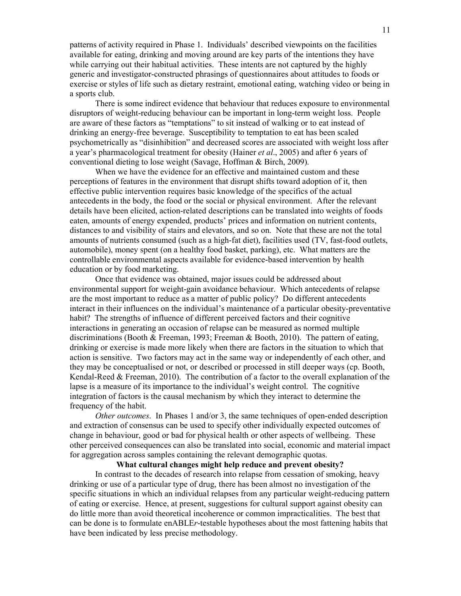patterns of activity required in Phase 1. Individuals' described viewpoints on the facilities available for eating, drinking and moving around are key parts of the intentions they have while carrying out their habitual activities. These intents are not captured by the highly generic and investigator-constructed phrasings of questionnaires about attitudes to foods or exercise or styles of life such as dietary restraint, emotional eating, watching video or being in a sports club.

There is some indirect evidence that behaviour that reduces exposure to environmental disruptors of weight-reducing behaviour can be important in long-term weight loss. People are aware of these factors as "temptations" to sit instead of walking or to eat instead of drinking an energy-free beverage. Susceptibility to temptation to eat has been scaled psychometrically as "disinhibition" and decreased scores are associated with weight loss after a year's pharmacological treatment for obesity (Hainer *et al*., 2005) and after 6 years of conventional dieting to lose weight (Savage, Hoffman & Birch, 2009).

When we have the evidence for an effective and maintained custom and these perceptions of features in the environment that disrupt shifts toward adoption of it, then effective public intervention requires basic knowledge of the specifics of the actual antecedents in the body, the food or the social or physical environment. After the relevant details have been elicited, action-related descriptions can be translated into weights of foods eaten, amounts of energy expended, products' prices and information on nutrient contents, distances to and visibility of stairs and elevators, and so on. Note that these are not the total amounts of nutrients consumed (such as a high-fat diet), facilities used (TV, fast-food outlets, automobile), money spent (on a healthy food basket, parking), etc. What matters are the controllable environmental aspects available for evidence-based intervention by health education or by food marketing.

Once that evidence was obtained, major issues could be addressed about environmental support for weight-gain avoidance behaviour. Which antecedents of relapse are the most important to reduce as a matter of public policy? Do different antecedents interact in their influences on the individual's maintenance of a particular obesity-preventative habit? The strengths of influence of different perceived factors and their cognitive interactions in generating an occasion of relapse can be measured as normed multiple discriminations (Booth & Freeman, 1993; Freeman & Booth, 2010). The pattern of eating, drinking or exercise is made more likely when there are factors in the situation to which that action is sensitive. Two factors may act in the same way or independently of each other, and they may be conceptualised or not, or described or processed in still deeper ways (cp. Booth, Kendal-Reed & Freeman, 2010). The contribution of a factor to the overall explanation of the lapse is a measure of its importance to the individual's weight control. The cognitive integration of factors is the causal mechanism by which they interact to determine the frequency of the habit.

*Other outcomes*. In Phases 1 and/or 3, the same techniques of open-ended description and extraction of consensus can be used to specify other individually expected outcomes of change in behaviour, good or bad for physical health or other aspects of wellbeing. These other perceived consequences can also be translated into social, economic and material impact for aggregation across samples containing the relevant demographic quotas.

**What cultural changes might help reduce and prevent obesity?** 

 In contrast to the decades of research into relapse from cessation of smoking, heavy drinking or use of a particular type of drug, there has been almost no investigation of the specific situations in which an individual relapses from any particular weight-reducing pattern of eating or exercise. Hence, at present, suggestions for cultural support against obesity can do little more than avoid theoretical incoherence or common impracticalities. The best that can be done is to formulate enABLE*r*-testable hypotheses about the most fattening habits that have been indicated by less precise methodology.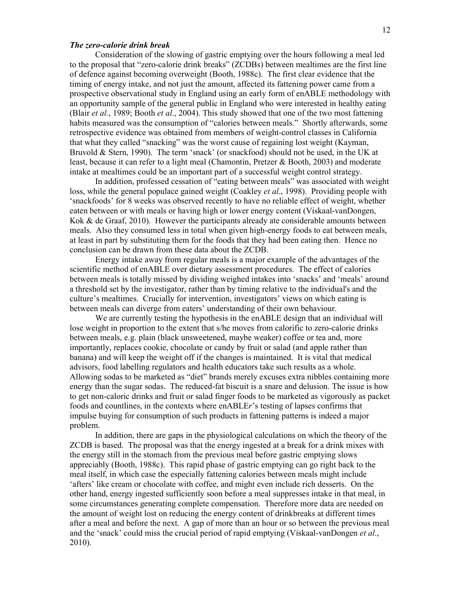# *The zero-calorie drink break*

Consideration of the slowing of gastric emptying over the hours following a meal led to the proposal that "zero-calorie drink breaks" (ZCDBs) between mealtimes are the first line of defence against becoming overweight (Booth, 1988c). The first clear evidence that the timing of energy intake, and not just the amount, affected its fattening power came from a prospective observational study in England using an early form of enABLE methodology with an opportunity sample of the general public in England who were interested in healthy eating (Blair *et al.*, 1989; Booth *et al*., 2004). This study showed that one of the two most fattening habits measured was the consumption of "calories between meals." Shortly afterwards, some retrospective evidence was obtained from members of weight-control classes in California that what they called "snacking" was the worst cause of regaining lost weight (Kayman, Bruvold & Stern, 1990). The term 'snack' (or snackfood) should not be used, in the UK at least, because it can refer to a light meal (Chamontin, Pretzer & Booth, 2003) and moderate intake at mealtimes could be an important part of a successful weight control strategy.

In addition, professed cessation of "eating between meals" was associated with weight loss, while the general populace gained weight (Coakley *et al*., 1998). Providing people with 'snackfoods' for 8 weeks was observed recently to have no reliable effect of weight, whether eaten between or with meals or having high or lower energy content (Viskaal-vanDongen, Kok  $\&$  de Graaf, 2010). However the participants already ate considerable amounts between meals. Also they consumed less in total when given high-energy foods to eat between meals, at least in part by substituting them for the foods that they had been eating then. Hence no conclusion can be drawn from these data about the ZCDB.

Energy intake away from regular meals is a major example of the advantages of the scientific method of enABLE over dietary assessment procedures. The effect of calories between meals is totally missed by dividing weighed intakes into 'snacks' and 'meals' around a threshold set by the investigator, rather than by timing relative to the individual's and the culture's mealtimes. Crucially for intervention, investigators' views on which eating is between meals can diverge from eaters' understanding of their own behaviour.

We are currently testing the hypothesis in the enABLE design that an individual will lose weight in proportion to the extent that s/he moves from calorific to zero-calorie drinks between meals, e.g. plain (black unsweetened, maybe weaker) coffee or tea and, more importantly, replaces cookie, chocolate or candy by fruit or salad (and apple rather than banana) and will keep the weight off if the changes is maintained. It is vital that medical advisors, food labelling regulators and health educators take such results as a whole. Allowing sodas to be marketed as "diet" brands merely excuses extra nibbles containing more energy than the sugar sodas. The reduced-fat biscuit is a snare and delusion. The issue is how to get non-caloric drinks and fruit or salad finger foods to be marketed as vigorously as packet foods and countlines, in the contexts where enABLE*r*'s testing of lapses confirms that impulse buying for consumption of such products in fattening patterns is indeed a major problem.

In addition, there are gaps in the physiological calculations on which the theory of the ZCDB is based. The proposal was that the energy ingested at a break for a drink mixes with the energy still in the stomach from the previous meal before gastric emptying slows appreciably (Booth, 1988c). This rapid phase of gastric emptying can go right back to the meal itself, in which case the especially fattening calories between meals might include 'afters' like cream or chocolate with coffee, and might even include rich desserts. On the other hand, energy ingested sufficiently soon before a meal suppresses intake in that meal, in some circumstances generating complete compensation. Therefore more data are needed on the amount of weight lost on reducing the energy content of drinkbreaks at different times after a meal and before the next. A gap of more than an hour or so between the previous meal and the 'snack' could miss the crucial period of rapid emptying (Viskaal-vanDongen *et al*., 2010).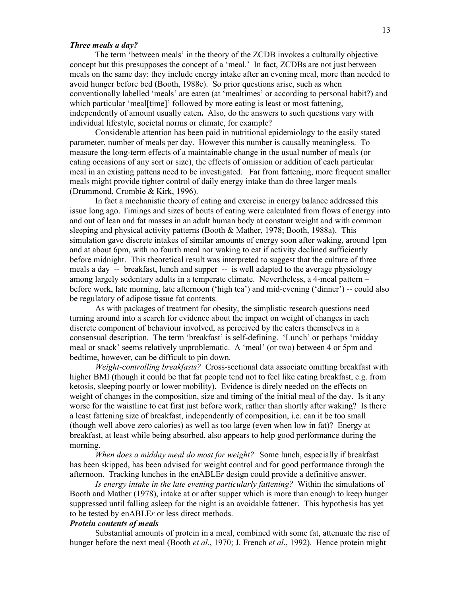### *Three meals a day?*

 The term 'between meals' in the theory of the ZCDB invokes a culturally objective concept but this presupposes the concept of a 'meal.' In fact, ZCDBs are not just between meals on the same day: they include energy intake after an evening meal, more than needed to avoid hunger before bed (Booth, 1988c). So prior questions arise, such as when conventionally labelled 'meals' are eaten (at 'mealtimes' or according to personal habit?) and which particular 'meal[time]' followed by more eating is least or most fattening, independently of amount usually eaten**.** Also, do the answers to such questions vary with individual lifestyle, societal norms or climate, for example?

 Considerable attention has been paid in nutritional epidemiology to the easily stated parameter, number of meals per day. However this number is causally meaningless. To measure the long-term effects of a maintainable change in the usual number of meals (or eating occasions of any sort or size), the effects of omission or addition of each particular meal in an existing pattens need to be investigated. Far from fattening, more frequent smaller meals might provide tighter control of daily energy intake than do three larger meals (Drummond, Crombie & Kirk, 1996).

In fact a mechanistic theory of eating and exercise in energy balance addressed this issue long ago. Timings and sizes of bouts of eating were calculated from flows of energy into and out of lean and fat masses in an adult human body at constant weight and with common sleeping and physical activity patterns (Booth & Mather, 1978; Booth, 1988a). This simulation gave discrete intakes of similar amounts of energy soon after waking, around 1pm and at about 6pm, with no fourth meal nor waking to eat if activity declined sufficiently before midnight. This theoretical result was interpreted to suggest that the culture of three meals a day -- breakfast, lunch and supper -- is well adapted to the average physiology among largely sedentary adults in a temperate climate. Nevertheless, a 4-meal pattern – before work, late morning, late afternoon ('high tea') and mid-evening ('dinner') -- could also be regulatory of adipose tissue fat contents.

As with packages of treatment for obesity, the simplistic research questions need turning around into a search for evidence about the impact on weight of changes in each discrete component of behaviour involved, as perceived by the eaters themselves in a consensual description. The term 'breakfast' is self-defining. 'Lunch' or perhaps 'midday meal or snack' seems relatively unproblematic. A 'meal' (or two) between 4 or 5pm and bedtime, however, can be difficult to pin down.

*Weight-controlling breakfasts?* Cross-sectional data associate omitting breakfast with higher BMI (though it could be that fat people tend not to feel like eating breakfast, e.g. from ketosis, sleeping poorly or lower mobility). Evidence is direly needed on the effects on weight of changes in the composition, size and timing of the initial meal of the day. Is it any worse for the waistline to eat first just before work, rather than shortly after waking? Is there a least fattening size of breakfast, independently of composition, i.e. can it be too small (though well above zero calories) as well as too large (even when low in fat)? Energy at breakfast, at least while being absorbed, also appears to help good performance during the morning.

*When does a midday meal do most for weight?* Some lunch, especially if breakfast has been skipped, has been advised for weight control and for good performance through the afternoon. Tracking lunches in the enABLE*r* design could provide a definitive answer.

*Is energy intake in the late evening particularly fattening?* Within the simulations of Booth and Mather (1978), intake at or after supper which is more than enough to keep hunger suppressed until falling asleep for the night is an avoidable fattener. This hypothesis has yet to be tested by enABLE*r* or less direct methods.

# *Protein contents of meals*

Substantial amounts of protein in a meal, combined with some fat, attenuate the rise of hunger before the next meal (Booth *et al*., 1970; J. French *et al*., 1992). Hence protein might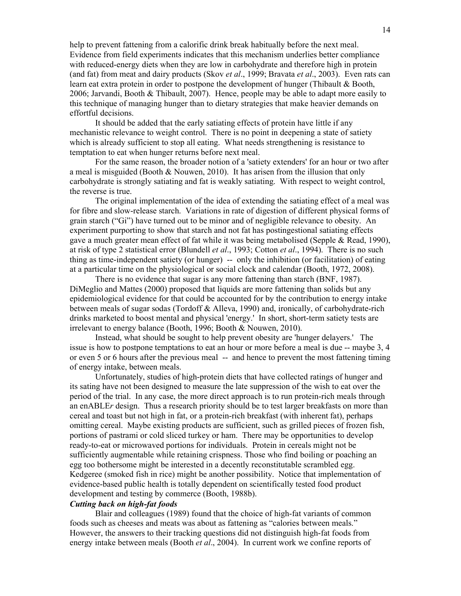help to prevent fattening from a calorific drink break habitually before the next meal. Evidence from field experiments indicates that this mechanism underlies better compliance with reduced-energy diets when they are low in carbohydrate and therefore high in protein (and fat) from meat and dairy products (Skov *et al*., 1999; Bravata *et al*., 2003). Even rats can learn eat extra protein in order to postpone the development of hunger (Thibault & Booth, 2006; Jarvandi, Booth & Thibault, 2007). Hence, people may be able to adapt more easily to this technique of managing hunger than to dietary strategies that make heavier demands on effortful decisions.

It should be added that the early satiating effects of protein have little if any mechanistic relevance to weight control. There is no point in deepening a state of satiety which is already sufficient to stop all eating. What needs strengthening is resistance to temptation to eat when hunger returns before next meal.

For the same reason, the broader notion of a 'satiety extenders' for an hour or two after a meal is misguided (Booth  $\&$  Nouwen, 2010). It has arisen from the illusion that only carbohydrate is strongly satiating and fat is weakly satiating. With respect to weight control, the reverse is true.

The original implementation of the idea of extending the satiating effect of a meal was for fibre and slow-release starch. Variations in rate of digestion of different physical forms of grain starch ("Gi") have turned out to be minor and of negligible relevance to obesity. An experiment purporting to show that starch and not fat has postingestional satiating effects gave a much greater mean effect of fat while it was being metabolised (Sepple & Read, 1990), at risk of type 2 statistical error (Blundell *et al*., 1993; Cotton *et al*., 1994). There is no such thing as time-independent satiety (or hunger) -- only the inhibition (or facilitation) of eating at a particular time on the physiological or social clock and calendar (Booth, 1972, 2008).

There is no evidence that sugar is any more fattening than starch (BNF, 1987). DiMeglio and Mattes (2000) proposed that liquids are more fattening than solids but any epidemiological evidence for that could be accounted for by the contribution to energy intake between meals of sugar sodas (Tordoff & Alleva, 1990) and, ironically, of carbohydrate-rich drinks marketed to boost mental and physical 'energy.' In short, short-term satiety tests are irrelevant to energy balance (Booth, 1996; Booth & Nouwen, 2010).

Instead, what should be sought to help prevent obesity are 'hunger delayers.' The issue is how to postpone temptations to eat an hour or more before a meal is due -- maybe 3, 4 or even 5 or 6 hours after the previous meal -- and hence to prevent the most fattening timing of energy intake, between meals.

Unfortunately, studies of high-protein diets that have collected ratings of hunger and its sating have not been designed to measure the late suppression of the wish to eat over the period of the trial. In any case, the more direct approach is to run protein-rich meals through an enABLE*r* design. Thus a research priority should be to test larger breakfasts on more than cereal and toast but not high in fat, or a protein-rich breakfast (with inherent fat), perhaps omitting cereal. Maybe existing products are sufficient, such as grilled pieces of frozen fish, portions of pastrami or cold sliced turkey or ham. There may be opportunities to develop ready-to-eat or microwaved portions for individuals. Protein in cereals might not be sufficiently augmentable while retaining crispness. Those who find boiling or poaching an egg too bothersome might be interested in a decently reconstitutable scrambled egg. Kedgeree (smoked fish in rice) might be another possibility. Notice that implementation of evidence-based public health is totally dependent on scientifically tested food product development and testing by commerce (Booth, 1988b).

### *Cutting back on high-fat foods*

Blair and colleagues (1989) found that the choice of high-fat variants of common foods such as cheeses and meats was about as fattening as "calories between meals." However, the answers to their tracking questions did not distinguish high-fat foods from energy intake between meals (Booth *et al*., 2004). In current work we confine reports of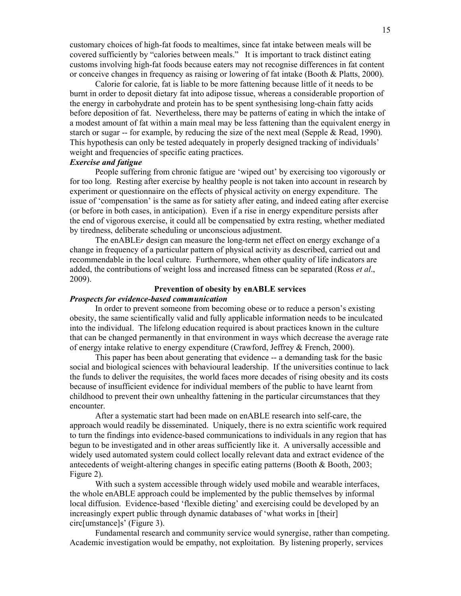customary choices of high-fat foods to mealtimes, since fat intake between meals will be covered sufficiently by "calories between meals." It is important to track distinct eating customs involving high-fat foods because eaters may not recognise differences in fat content or conceive changes in frequency as raising or lowering of fat intake (Booth & Platts, 2000).

 Calorie for calorie, fat is liable to be more fattening because little of it needs to be burnt in order to deposit dietary fat into adipose tissue, whereas a considerable proportion of the energy in carbohydrate and protein has to be spent synthesising long-chain fatty acids before deposition of fat. Nevertheless, there may be patterns of eating in which the intake of a modest amount of fat within a main meal may be less fattening than the equivalent energy in starch or sugar -- for example, by reducing the size of the next meal (Sepple & Read, 1990). This hypothesis can only be tested adequately in properly designed tracking of individuals' weight and frequencies of specific eating practices.

# *Exercise and fatigue*

 People suffering from chronic fatigue are 'wiped out' by exercising too vigorously or for too long. Resting after exercise by healthy people is not taken into account in research by experiment or questionnaire on the effects of physical activity on energy expenditure. The issue of 'compensation' is the same as for satiety after eating, and indeed eating after exercise (or before in both cases, in anticipation). Even if a rise in energy expenditure persists after the end of vigorous exercise, it could all be compensatied by extra resting, whether mediated by tiredness, deliberate scheduling or unconscious adjustment.

The enABLE*r* design can measure the long-term net effect on energy exchange of a change in frequency of a particular pattern of physical activity as described, carried out and recommendable in the local culture. Furthermore, when other quality of life indicators are added, the contributions of weight loss and increased fitness can be separated (Ross *et al*., 2009).

#### **Prevention of obesity by enABLE services**

#### *Prospects for evidence-based communication*

In order to prevent someone from becoming obese or to reduce a person's existing obesity, the same scientifically valid and fully applicable information needs to be inculcated into the individual. The lifelong education required is about practices known in the culture that can be changed permanently in that environment in ways which decrease the average rate of energy intake relative to energy expenditure (Crawford, Jeffrey & French, 2000).

This paper has been about generating that evidence -- a demanding task for the basic social and biological sciences with behavioural leadership. If the universities continue to lack the funds to deliver the requisites, the world faces more decades of rising obesity and its costs because of insufficient evidence for individual members of the public to have learnt from childhood to prevent their own unhealthy fattening in the particular circumstances that they encounter.

After a systematic start had been made on enABLE research into self-care, the approach would readily be disseminated. Uniquely, there is no extra scientific work required to turn the findings into evidence-based communications to individuals in any region that has begun to be investigated and in other areas sufficiently like it. A universally accessible and widely used automated system could collect locally relevant data and extract evidence of the antecedents of weight-altering changes in specific eating patterns (Booth & Booth, 2003; Figure 2).

With such a system accessible through widely used mobile and wearable interfaces, the whole enABLE approach could be implemented by the public themselves by informal local diffusion. Evidence-based 'flexible dieting' and exercising could be developed by an increasingly expert public through dynamic databases of 'what works in [their] circ[umstance]s' (Figure 3).

Fundamental research and community service would synergise, rather than competing. Academic investigation would be empathy, not exploitation. By listening properly, services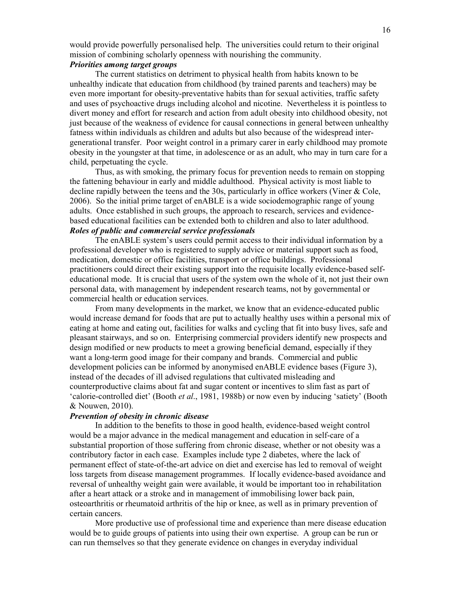would provide powerfully personalised help. The universities could return to their original mission of combining scholarly openness with nourishing the community.

# *Priorities among target groups*

The current statistics on detriment to physical health from habits known to be unhealthy indicate that education from childhood (by trained parents and teachers) may be even more important for obesity-preventative habits than for sexual activities, traffic safety and uses of psychoactive drugs including alcohol and nicotine. Nevertheless it is pointless to divert money and effort for research and action from adult obesity into childhood obesity, not just because of the weakness of evidence for causal connections in general between unhealthy fatness within individuals as children and adults but also because of the widespread intergenerational transfer. Poor weight control in a primary carer in early childhood may promote obesity in the youngster at that time, in adolescence or as an adult, who may in turn care for a child, perpetuating the cycle.

 Thus, as with smoking, the primary focus for prevention needs to remain on stopping the fattening behaviour in early and middle adulthood. Physical activity is most liable to decline rapidly between the teens and the 30s, particularly in office workers (Viner & Cole, 2006). So the initial prime target of enABLE is a wide sociodemographic range of young adults. Once established in such groups, the approach to research, services and evidencebased educational facilities can be extended both to children and also to later adulthood. *Roles of public and commercial service professionals* 

The enABLE system's users could permit access to their individual information by a professional developer who is registered to supply advice or material support such as food, medication, domestic or office facilities, transport or office buildings. Professional practitioners could direct their existing support into the requisite locally evidence-based selfeducational mode. It is crucial that users of the system own the whole of it, not just their own personal data, with management by independent research teams, not by governmental or commercial health or education services.

 From many developments in the market, we know that an evidence-educated public would increase demand for foods that are put to actually healthy uses within a personal mix of eating at home and eating out, facilities for walks and cycling that fit into busy lives, safe and pleasant stairways, and so on. Enterprising commercial providers identify new prospects and design modified or new products to meet a growing beneficial demand, especially if they want a long-term good image for their company and brands. Commercial and public development policies can be informed by anonymised enABLE evidence bases (Figure 3), instead of the decades of ill advised regulations that cultivated misleading and counterproductive claims about fat and sugar content or incentives to slim fast as part of 'calorie-controlled diet' (Booth *et al*., 1981, 1988b) or now even by inducing 'satiety' (Booth & Nouwen, 2010).

#### *Prevention of obesity in chronic disease*

In addition to the benefits to those in good health, evidence-based weight control would be a major advance in the medical management and education in self-care of a substantial proportion of those suffering from chronic disease, whether or not obesity was a contributory factor in each case. Examples include type 2 diabetes, where the lack of permanent effect of state-of-the-art advice on diet and exercise has led to removal of weight loss targets from disease management programmes. If locally evidence-based avoidance and reversal of unhealthy weight gain were available, it would be important too in rehabilitation after a heart attack or a stroke and in management of immobilising lower back pain, osteoarthritis or rheumatoid arthritis of the hip or knee, as well as in primary prevention of certain cancers.

More productive use of professional time and experience than mere disease education would be to guide groups of patients into using their own expertise. A group can be run or can run themselves so that they generate evidence on changes in everyday individual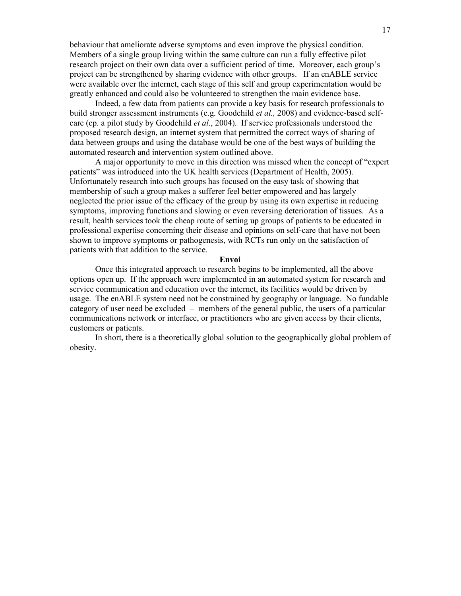behaviour that ameliorate adverse symptoms and even improve the physical condition. Members of a single group living within the same culture can run a fully effective pilot research project on their own data over a sufficient period of time. Moreover, each group's project can be strengthened by sharing evidence with other groups. If an enABLE service were available over the internet, each stage of this self and group experimentation would be greatly enhanced and could also be volunteered to strengthen the main evidence base.

Indeed, a few data from patients can provide a key basis for research professionals to build stronger assessment instruments (e.g. Goodchild *et al.,* 2008) and evidence-based selfcare (cp. a pilot study by Goodchild *et al*., 2004). If service professionals understood the proposed research design, an internet system that permitted the correct ways of sharing of data between groups and using the database would be one of the best ways of building the automated research and intervention system outlined above.

A major opportunity to move in this direction was missed when the concept of "expert patients" was introduced into the UK health services (Department of Health, 2005). Unfortunately research into such groups has focused on the easy task of showing that membership of such a group makes a sufferer feel better empowered and has largely neglected the prior issue of the efficacy of the group by using its own expertise in reducing symptoms, improving functions and slowing or even reversing deterioration of tissues. As a result, health services took the cheap route of setting up groups of patients to be educated in professional expertise concerning their disease and opinions on self-care that have not been shown to improve symptoms or pathogenesis, with RCTs run only on the satisfaction of patients with that addition to the service.

#### **Envoi**

Once this integrated approach to research begins to be implemented, all the above options open up. If the approach were implemented in an automated system for research and service communication and education over the internet, its facilities would be driven by usage. The enABLE system need not be constrained by geography or language. No fundable category of user need be excluded – members of the general public, the users of a particular communications network or interface, or practitioners who are given access by their clients, customers or patients.

In short, there is a theoretically global solution to the geographically global problem of obesity.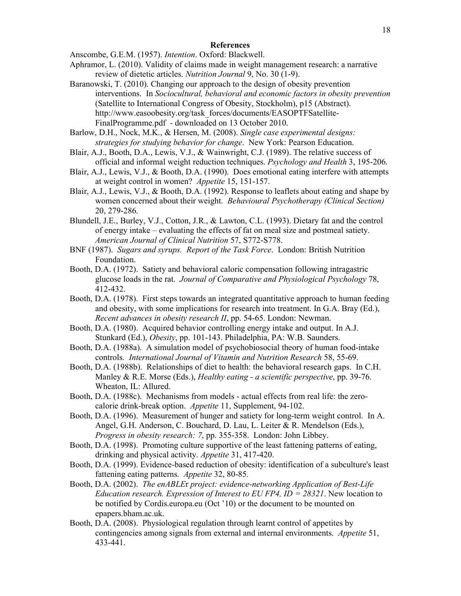### **References**

Anscombe, G.E.M. (1957). *Intention*. Oxford: Blackwell.

- Aphramor, L. (2010). Validity of claims made in weight management research: a narrative review of dietetic articles. *Nutrition Journal* 9, No. 30 (1-9).
- Baranowski, T. (2010). Changing our approach to the design of obesity prevention interventions. In *Sociocultural, behavioral and economic factors in obesity prevention* (Satellite to International Congress of Obesity, Stockholm), p15 (Abstract). http://www.easoobesity.org/task\_forces/documents/EASOPTFSatellite-FinalProgramme.pdf - downloaded on 13 October 2010.
- Barlow, D.H., Nock, M.K., & Hersen, M. (2008). *Single case experimental designs: strategies for studying behavior for change*. New York: Pearson Education.
- Blair, A.J., Booth, D.A., Lewis, V.J., & Wainwright, C.J. (1989). The relative success of official and informal weight reduction techniques. *Psychology and Health* 3, 195-206.
- Blair, A.J., Lewis, V.J., & Booth, D.A. (1990). Does emotional eating interfere with attempts at weight control in women? *Appetite* 15, 151-157.
- Blair, A.J., Lewis, V.J., & Booth, D.A. (1992). Response to leaflets about eating and shape by women concerned about their weight. *Behavioural Psychotherapy (Clinical Section)* 20, 279-286.
- Blundell, J.E., Burley, V.J., Cotton, J.R., & Lawton, C.L. (1993). Dietary fat and the control of energy intake – evaluating the effects of fat on meal size and postmeal satiety. *American Journal of Clinical Nutrition* 57, S772-S778.
- BNF (1987). *Sugars and syrups. Report of the Task Force*. London: British Nutrition Foundation.
- Booth, D.A. (1972). Satiety and behavioral caloric compensation following intragastric glucose loads in the rat. *Journal of Comparative and Physiological Psychology* 78, 412-432.
- Booth, D.A. (1978). First steps towards an integrated quantitative approach to human feeding and obesity, with some implications for research into treatment. In G.A. Bray (Ed.), *Recent advances in obesity research II*, pp. 54-65. London: Newman.
- Booth, D.A. (1980). Acquired behavior controlling energy intake and output. In A.J. Stunkard (Ed.), *Obesity*, pp. 101-143. Philadelphia, PA: W.B. Saunders.
- Booth, D.A. (1988a). A simulation model of psychobiosocial theory of human food-intake controls. *International Journal of Vitamin and Nutrition Research* 58, 55-69.
- Booth, D.A. (1988b). Relationships of diet to health: the behavioral research gaps. In C.H. Manley & R.E. Morse (Eds.), *Healthy eating - a scientific perspective*, pp. 39-76. Wheaton, IL: Allured.
- Booth, D.A. (1988c). Mechanisms from models actual effects from real life: the zerocalorie drink-break option. *Appetite* 11, Supplement, 94-102.
- Booth, D.A. (1996). Measurement of hunger and satiety for long-term weight control. In A. Angel, G.H. Anderson, C. Bouchard, D. Lau, L. Leiter & R. Mendelson (Eds.), *Progress in obesity research: 7*, pp. 355-358. London: John Libbey.
- Booth, D.A. (1998). Promoting culture supportive of the least fattening patterns of eating, drinking and physical activity. *Appetite* 31, 417-420.
- Booth, D.A. (1999). Evidence-based reduction of obesity: identification of a subculture's least fattening eating patterns. *Appetite* 32, 80-85.
- Booth, D.A. (2002). *The enABLE*r *project: evidence-networking Application of Best-Life Education research. Expression of Interest to EU FP4, ID = 28321*. New location to be notified by Cordis.europa.eu (Oct '10) or the document to be mounted on epapers.bham.ac.uk.
- Booth, D.A. (2008). Physiological regulation through learnt control of appetites by contingencies among signals from external and internal environments. *Appetite* 51, 433-441.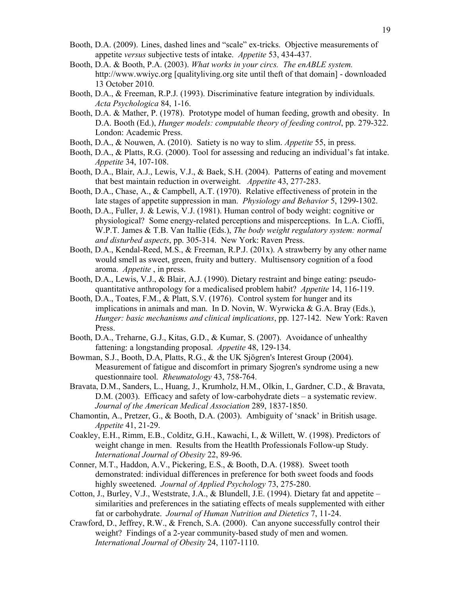- Booth, D.A. (2009). Lines, dashed lines and "scale" ex-tricks. Objective measurements of appetite *versus* subjective tests of intake. *Appetite* 53, 434-437.
- Booth, D.A. & Booth, P.A. (2003). *What works in your circs. The enABLE system.* http://www.wwiyc.org [qualityliving.org site until theft of that domain] - downloaded 13 October 2010.
- Booth, D.A., & Freeman, R.P.J. (1993). Discriminative feature integration by individuals. *Acta Psychologica* 84, 1-16.
- Booth, D.A. & Mather, P. (1978). Prototype model of human feeding, growth and obesity. In D.A. Booth (Ed.), *Hunger models: computable theory of feeding control*, pp. 279-322. London: Academic Press.
- Booth, D.A., & Nouwen, A. (2010). Satiety is no way to slim. *Appetite* 55, in press.
- Booth, D.A., & Platts, R.G. (2000). Tool for assessing and reducing an individual's fat intake. *Appetite* 34, 107-108.
- Booth, D.A., Blair, A.J., Lewis, V.J., & Baek, S.H. (2004). Patterns of eating and movement that best maintain reduction in overweight. *Appetite* 43, 277-283.
- Booth, D.A., Chase, A., & Campbell, A.T. (1970). Relative effectiveness of protein in the late stages of appetite suppression in man. *Physiology and Behavior* 5, 1299-1302.
- Booth, D.A., Fuller, J. & Lewis, V.J. (1981). Human control of body weight: cognitive or physiological? Some energy-related perceptions and misperceptions. In L.A. Cioffi, W.P.T. James & T.B. Van Itallie (Eds.), *The body weight regulatory system: normal and disturbed aspects*, pp. 305-314. New York: Raven Press.
- Booth, D.A., Kendal-Reed, M.S., & Freeman, R.P.J. (201x). A strawberry by any other name would smell as sweet, green, fruity and buttery. Multisensory cognition of a food aroma. *Appetite* , in press.
- Booth, D.A., Lewis, V.J., & Blair, A.J. (1990). Dietary restraint and binge eating: pseudoquantitative anthropology for a medicalised problem habit? *Appetite* 14, 116-119.
- Booth, D.A., Toates, F.M., & Platt, S.V. (1976). Control system for hunger and its implications in animals and man. In D. Novin, W. Wyrwicka & G.A. Bray (Eds.), *Hunger: basic mechanisms and clinical implications*, pp. 127-142. New York: Raven Press.
- Booth, D.A., Treharne, G.J., Kitas, G.D., & Kumar, S. (2007). Avoidance of unhealthy fattening: a longstanding proposal. *Appetite* 48, 129-134.
- Bowman, S.J., Booth, D.A, Platts, R.G., & the UK Sjögren's Interest Group (2004). Measurement of fatigue and discomfort in primary Sjogren's syndrome using a new questionnaire tool. *Rheumatology* 43, 758-764.
- Bravata, D.M., Sanders, L., Huang, J., Krumholz, H.M., Olkin, I., Gardner, C.D., & Bravata, D.M. (2003). Efficacy and safety of low-carbohydrate diets – a systematic review. *Journal of the American Medical Association* 289, 1837-1850.
- Chamontin, A., Pretzer, G., & Booth, D.A. (2003). Ambiguity of 'snack' in British usage. *Appetite* 41, 21-29.
- Coakley, E.H., Rimm, E.B., Colditz, G.H., Kawachi, I., & Willett, W. (1998). Predictors of weight change in men. Results from the Heatlth Professionals Follow-up Study. *International Journal of Obesity* 22, 89-96.
- Conner, M.T., Haddon, A.V., Pickering, E.S., & Booth, D.A. (1988). Sweet tooth demonstrated: individual differences in preference for both sweet foods and foods highly sweetened. *Journal of Applied Psychology* 73, 275-280.
- Cotton, J., Burley, V.J., Weststrate, J.A., & Blundell, J.E. (1994). Dietary fat and appetite similarities and preferences in the satiating effects of meals supplemented with either fat or carbohydrate. *Journal of Human Nutrition and Dietetics* 7, 11-24.
- Crawford, D., Jeffrey, R.W., & French, S.A. (2000). Can anyone successfully control their weight? Findings of a 2-year community-based study of men and women. *International Journal of Obesity* 24, 1107-1110.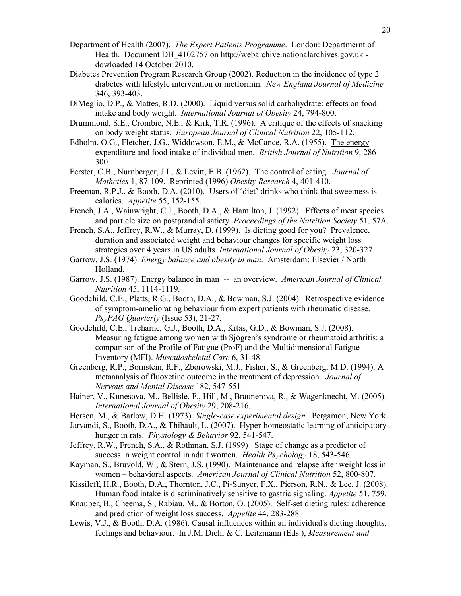- Department of Health (2007). *The Expert Patients Programme*. London: Departmernt of Health. Document DH\_4102757 on http://webarchive.nationalarchives.gov.uk dowloaded 14 October 2010.
- Diabetes Prevention Program Research Group (2002). Reduction in the incidence of type 2 diabetes with lifestyle intervention or metformin. *New England Journal of Medicine* 346, 393-403.
- DiMeglio, D.P., & Mattes, R.D. (2000). Liquid versus solid carbohydrate: effects on food intake and body weight. *International Journal of Obesity* 24, 794-800.
- Drummond, S.E., Crombie, N.E., & Kirk, T.R. (1996). A critique of the effects of snacking on body weight status. *European Journal of Clinical Nutrition* 22, 105-112.
- Edholm, O.G., Fletcher, J.G., Widdowson, E.M., & McCance, R.A. (1955). The energy expenditure and food intake of individual men. *British Journal of Nutrition* 9, 286- 300.
- Ferster, C.B., Nurnberger, J.I., & Levitt, E.B. (1962). The control of eating*. Journal of Mathetics* 1, 87-109. Reprinted (1996) *Obesity Research* 4, 401-410.
- Freeman, R.P.J., & Booth, D.A. (2010). Users of 'diet' drinks who think that sweetness is calories. *Appetite* 55, 152-155.
- French, J.A., Wainwright, C.J., Booth, D.A., & Hamilton, J. (1992). Effects of meat species and particle size on postprandial satiety. *Proceedings of the Nutrition Society* 51, 57A.
- French, S.A., Jeffrey, R.W., & Murray, D. (1999). Is dieting good for you? Prevalence, duration and associated weight and behaviour changes for specific weight loss strategies over 4 years in US adults. *International Journal of Obesity* 23, 320-327.
- Garrow, J.S. (1974). *Energy balance and obesity in man*. Amsterdam: Elsevier / North Holland.
- Garrow, J.S. (1987). Energy balance in man -- an overview. *American Journal of Clinical Nutrition* 45, 1114-1119.
- Goodchild, C.E., Platts, R.G., Booth, D.A., & Bowman, S.J. (2004). Retrospective evidence of symptom-ameliorating behaviour from expert patients with rheumatic disease. *PsyPAG Quarterly* (Issue 53), 21-27.
- Goodchild, C.E., Treharne, G.J., Booth, D.A., Kitas, G.D., & Bowman, S.J. (2008). Measuring fatigue among women with Sjögren's syndrome or rheumatoid arthritis: a comparison of the Profile of Fatigue (ProF) and the Multidimensional Fatigue Inventory (MFI). *Musculoskeletal Care* 6, 31-48.
- Greenberg, R.P., Bornstein, R.F., Zborowski, M.J., Fisher, S., & Greenberg, M.D. (1994). A metaanalysis of fluoxetine outcome in the treatment of depression. *Journal of Nervous and Mental Disease* 182, 547-551.
- Hainer, V., Kunesova, M., Bellisle, F., Hill, M., Braunerova, R., & Wagenknecht, M. (2005). *International Journal of Obesity* 29, 208-216.
- Hersen, M., & Barlow, D.H. (1973). *Single-case experimental design*. Pergamon, New York
- Jarvandi, S., Booth, D.A., & Thibault, L. (2007). Hyper-homeostatic learning of anticipatory hunger in rats. *Physiology & Behavior* 92, 541-547.
- Jeffrey, R.W., French, S.A., & Rothman, S.J. (1999) Stage of change as a predictor of success in weight control in adult women. *Health Psychology* 18, 543-546.
- Kayman, S., Bruvold, W., & Stern, J.S. (1990). Maintenance and relapse after weight loss in women – behavioral aspects. *American Journal of Clinical Nutrition* 52, 800-807.
- Kissileff, H.R., Booth, D.A., Thornton, J.C., Pi-Sunyer, F.X., Pierson, R.N., & Lee, J. (2008). Human food intake is discriminatively sensitive to gastric signaling. *Appetite* 51, 759.
- Knauper, B., Cheema, S., Rabiau, M., & Borton, O. (2005). Self-set dieting rules: adherence and prediction of weight loss success. *Appetite* 44, 283-288.
- Lewis, V.J., & Booth, D.A. (1986). Causal influences within an individual's dieting thoughts, feelings and behaviour. In J.M. Diehl & C. Leitzmann (Eds.), *Measurement and*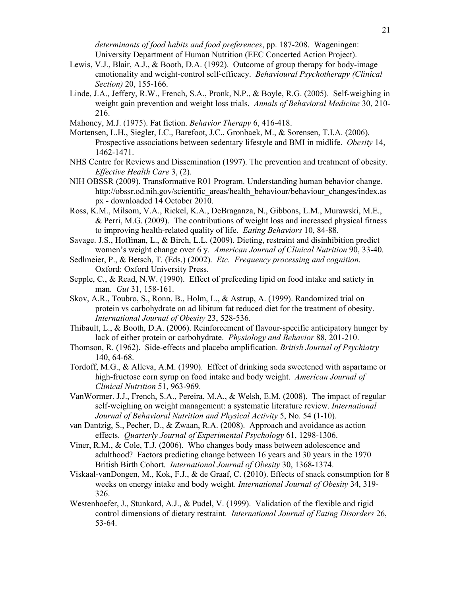*determinants of food habits and food preferences*, pp. 187-208. Wageningen: University Department of Human Nutrition (EEC Concerted Action Project).

- Lewis, V.J., Blair, A.J., & Booth, D.A. (1992). Outcome of group therapy for body-image emotionality and weight-control self-efficacy. *Behavioural Psychotherapy (Clinical Section)* 20, 155-166.
- Linde, J.A., Jeffery, R.W., French, S.A., Pronk, N.P., & Boyle, R.G. (2005). Self-weighing in weight gain prevention and weight loss trials. *Annals of Behavioral Medicine* 30, 210- 216.
- Mahoney, M.J. (1975). Fat fiction. *Behavior Therapy* 6, 416-418.
- Mortensen, L.H., Siegler, I.C., Barefoot, J.C., Gronbaek, M., & Sorensen, T.I.A. (2006). Prospective associations between sedentary lifestyle and BMI in midlife. *Obesity* 14, 1462-1471.
- NHS Centre for Reviews and Dissemination (1997). The prevention and treatment of obesity. *Effective Health Care* 3, (2).
- NIH OBSSR (2009). Transformative R01 Program. Understanding human behavior change. http://obssr.od.nih.gov/scientific\_areas/health\_behaviour/behaviour\_changes/index.as px - downloaded 14 October 2010.
- Ross, K.M., Milsom, V.A., Rickel, K.A., DeBraganza, N., Gibbons, L.M., Murawski, M.E., & Perri, M.G. (2009). The contributions of weight loss and increased physical fitness to improving health-related quality of life. *Eating Behaviors* 10, 84-88.
- Savage. J.S., Hoffman, L., & Birch, L.L. (2009). Dieting, restraint and disinhibition predict women's weight change over 6 y. *American Journal of Clinical Nutrition* 90, 33-40.
- Sedlmeier, P., & Betsch, T. (Eds.) (2002). *Etc. Frequency processing and cognition*. Oxford: Oxford University Press.
- Sepple, C., & Read, N.W. (1990). Effect of prefeeding lipid on food intake and satiety in man. *Gut* 31, 158-161.
- Skov, A.R., Toubro, S., Ronn, B., Holm, L., & Astrup, A. (1999). Randomized trial on protein vs carbohydrate on ad libitum fat reduced diet for the treatment of obesity. *International Journal of Obesity* 23, 528-536.
- Thibault, L., & Booth, D.A. (2006). Reinforcement of flavour-specific anticipatory hunger by lack of either protein or carbohydrate. *Physiology and Behavior* 88, 201-210.
- Thomson, R. (1962). Side-effects and placebo amplification. *British Journal of Psychiatry* 140, 64-68.
- Tordoff, M.G., & Alleva, A.M. (1990). Effect of drinking soda sweetened with aspartame or high-fructose corn syrup on food intake and body weight. *American Journal of Clinical Nutrition* 51, 963-969.
- VanWormer. J.J., French, S.A., Pereira, M.A., & Welsh, E.M. (2008). The impact of regular self-weighing on weight management: a systematic literature review. *International Journal of Behavioral Nutrition and Physical Activity* 5, No. 54 (1-10).
- van Dantzig, S., Pecher, D., & Zwaan, R.A. (2008). Approach and avoidance as action effects. *Quarterly Journal of Experimental Psychology* 61, 1298-1306.
- Viner, R.M., & Cole, T.J. (2006). Who changes body mass between adolescence and adulthood? Factors predicting change between 16 years and 30 years in the 1970 British Birth Cohort. *International Journal of Obesity* 30, 1368-1374.
- Viskaal-vanDongen, M., Kok, F.J., & de Graaf, C. (2010). Effects of snack consumption for 8 weeks on energy intake and body weight. *International Journal of Obesity* 34, 319- 326.
- Westenhoefer, J., Stunkard, A.J., & Pudel, V. (1999). Validation of the flexible and rigid control dimensions of dietary restraint. *International Journal of Eating Disorders* 26, 53-64.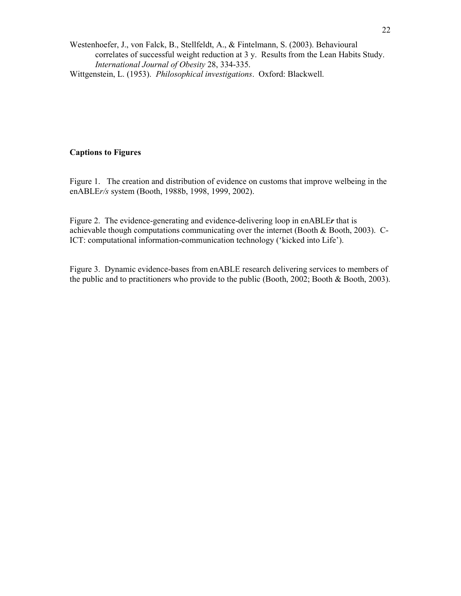Westenhoefer, J., von Falck, B., Stellfeldt, A., & Fintelmann, S. (2003). Behavioural correlates of successful weight reduction at 3 y. Results from the Lean Habits Study. *International Journal of Obesity* 28, 334-335. Wittgenstein, L. (1953). *Philosophical investigations*. Oxford: Blackwell.

### **Captions to Figures**

Figure 1. The creation and distribution of evidence on customs that improve welbeing in the enABLE*r/s* system (Booth, 1988b, 1998, 1999, 2002).

Figure 2. The evidence-generating and evidence-delivering loop in enABLE*r* that is achievable though computations communicating over the internet (Booth & Booth, 2003). C-ICT: computational information-communication technology ('kicked into Life').

Figure 3. Dynamic evidence-bases from enABLE research delivering services to members of the public and to practitioners who provide to the public (Booth, 2002; Booth & Booth, 2003).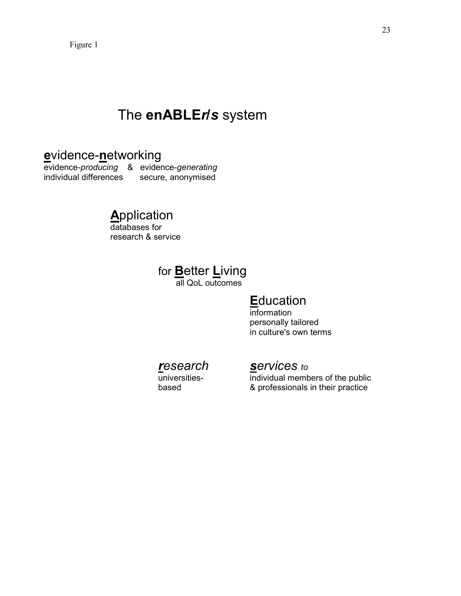Figure 1

# The **enABLE***r***/***s* system

# **e**vidence-**n**etworking

evidence-*producing* & evidence-*generating* secure, anonymised

# **A**pplication

databases for research & service

# for **B**etter **L**iving

all QoL outcomes

# **E**ducation

information personally tailored in culture's own terms

# *research*

universitiesbased

# *services to*

individual members of the public & professionals in their practice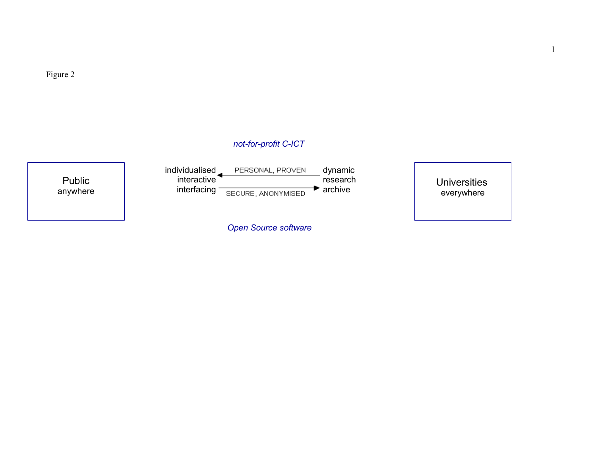Figure 2

# *not-for-profit C-ICT*